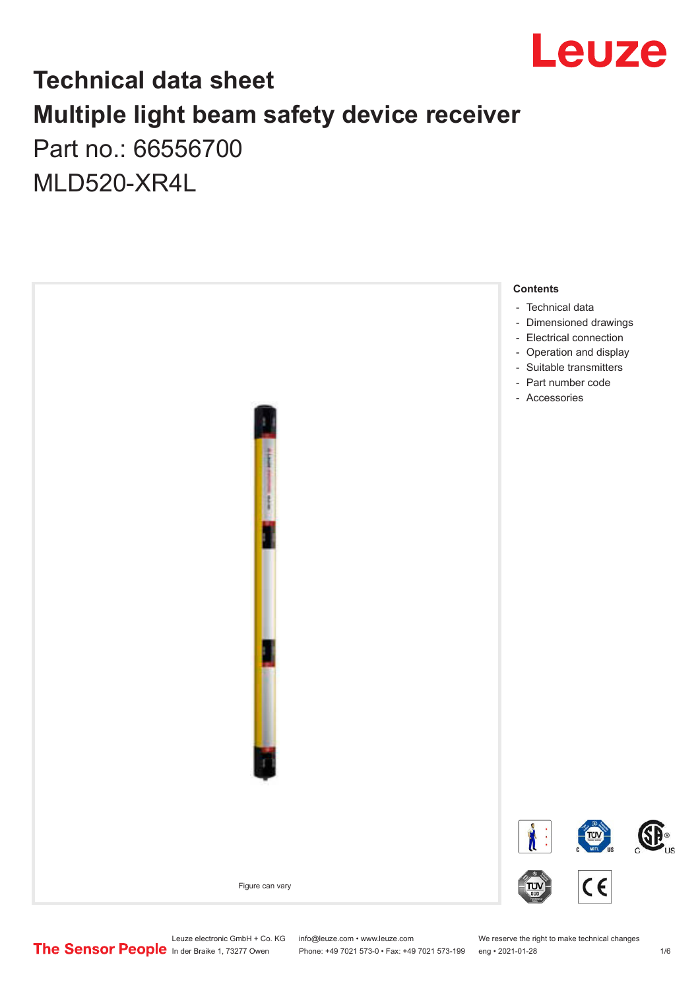

### **Technical data sheet Multiple light beam safety device receiver** Part no.: 66556700

MLD520-XR4L

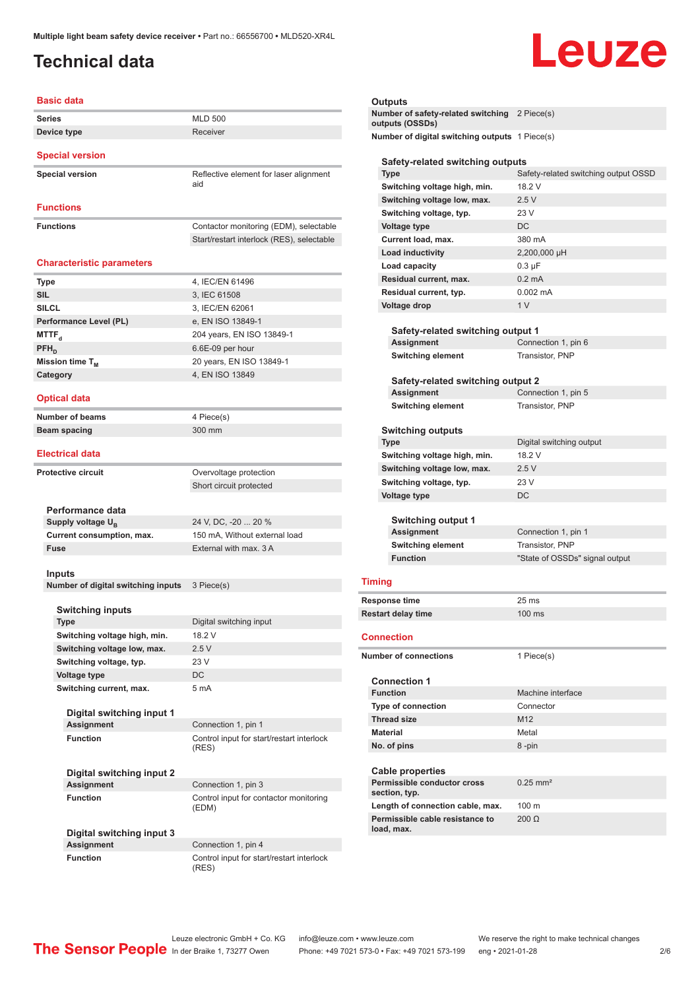### <span id="page-1-0"></span>**Technical data**

# Leuze

| <b>Basic data</b>                              |                                                                                     |  |  |
|------------------------------------------------|-------------------------------------------------------------------------------------|--|--|
| <b>Series</b>                                  | <b>MLD 500</b>                                                                      |  |  |
| Device type                                    | Receiver                                                                            |  |  |
| <b>Special version</b>                         |                                                                                     |  |  |
| <b>Special version</b>                         | Reflective element for laser alignment<br>aid                                       |  |  |
| <b>Functions</b>                               |                                                                                     |  |  |
| <b>Functions</b>                               | Contactor monitoring (EDM), selectable<br>Start/restart interlock (RES), selectable |  |  |
| <b>Characteristic parameters</b>               |                                                                                     |  |  |
| <b>Type</b>                                    | 4, IEC/EN 61496                                                                     |  |  |
| <b>SIL</b>                                     | 3, IEC 61508                                                                        |  |  |
| <b>SILCL</b>                                   | 3, IEC/EN 62061                                                                     |  |  |
| Performance Level (PL)                         | e, EN ISO 13849-1                                                                   |  |  |
| MTTF <sub>d</sub>                              | 204 years, EN ISO 13849-1                                                           |  |  |
| $PFH_n$                                        | 6.6E-09 per hour                                                                    |  |  |
| Mission time T <sub>M</sub>                    | 20 years, EN ISO 13849-1                                                            |  |  |
| Category                                       | 4, EN ISO 13849                                                                     |  |  |
|                                                |                                                                                     |  |  |
| <b>Optical data</b>                            |                                                                                     |  |  |
| Number of beams                                | 4 Piece(s)                                                                          |  |  |
| Beam spacing                                   | 300 mm                                                                              |  |  |
| <b>Electrical data</b>                         |                                                                                     |  |  |
| <b>Protective circuit</b>                      | Overvoltage protection                                                              |  |  |
|                                                | Short circuit protected                                                             |  |  |
|                                                |                                                                                     |  |  |
| Performance data                               |                                                                                     |  |  |
| Supply voltage U <sub>R</sub>                  | 24 V, DC, -20  20 %                                                                 |  |  |
| Current consumption, max.                      | 150 mA, Without external load                                                       |  |  |
| <b>Fuse</b>                                    | External with max. 3 A                                                              |  |  |
| Inputs<br>Number of digital switching inputs   | 3 Piece(s)                                                                          |  |  |
|                                                |                                                                                     |  |  |
| <b>Switching inputs</b>                        |                                                                                     |  |  |
| Type                                           | Digital switching input                                                             |  |  |
| Switching voltage high, min.                   | 18.2 V                                                                              |  |  |
| Switching voltage low, max.                    | 2.5V                                                                                |  |  |
| Switching voltage, typ.                        | 23 V                                                                                |  |  |
| Voltage type                                   | DC                                                                                  |  |  |
| Switching current, max.                        | 5 mA                                                                                |  |  |
| Digital switching input 1                      |                                                                                     |  |  |
| <b>Assignment</b>                              | Connection 1, pin 1                                                                 |  |  |
| <b>Function</b>                                | Control input for start/restart interlock<br>(RES)                                  |  |  |
| Digital switching input 2                      |                                                                                     |  |  |
| <b>Assignment</b>                              | Connection 1, pin 3                                                                 |  |  |
| <b>Function</b>                                | Control input for contactor monitoring<br>(EDM)                                     |  |  |
| Digital switching input 3<br><b>Assignment</b> | Connection 1, pin 4                                                                 |  |  |
| <b>Function</b>                                | Control input for start/restart interlock                                           |  |  |
|                                                |                                                                                     |  |  |

| Outputs                                                          |                                               |  |  |
|------------------------------------------------------------------|-----------------------------------------------|--|--|
| Number of safety-related switching 2 Piece(s)<br>outputs (OSSDs) |                                               |  |  |
| Number of digital switching outputs 1 Piece(s)                   |                                               |  |  |
| Safety-related switching outputs                                 |                                               |  |  |
| <b>Type</b>                                                      | Safety-related switching output OSSD          |  |  |
| Switching voltage high, min.                                     | 18.2 V                                        |  |  |
| Switching voltage low, max.                                      | 2.5V                                          |  |  |
| Switching voltage, typ.                                          | 23 V                                          |  |  |
| <b>Voltage type</b>                                              | DC                                            |  |  |
| Current load, max.                                               | 380 mA                                        |  |  |
| Load inductivity                                                 | 2,200,000 µH                                  |  |  |
| Load capacity                                                    | $0.3 \mu F$                                   |  |  |
| Residual current, max.                                           | $0.2 \text{ mA}$                              |  |  |
| Residual current, typ.                                           | $0.002 \, \text{mA}$                          |  |  |
| <b>Voltage drop</b>                                              | 1 <sub>V</sub>                                |  |  |
|                                                                  |                                               |  |  |
| Safety-related switching output 1                                |                                               |  |  |
| Assignment                                                       | Connection 1, pin 6                           |  |  |
| <b>Switching element</b>                                         | Transistor, PNP                               |  |  |
| Safety-related switching output 2                                |                                               |  |  |
| Assignment                                                       | Connection 1, pin 5                           |  |  |
| <b>Switching element</b>                                         | Transistor, PNP                               |  |  |
|                                                                  |                                               |  |  |
| <b>Switching outputs</b>                                         |                                               |  |  |
| <b>Type</b>                                                      | Digital switching output                      |  |  |
| Switching voltage high, min.                                     | 18.2 V                                        |  |  |
| Switching voltage low, max.                                      | 2.5V                                          |  |  |
| Switching voltage, typ.                                          | 23 V<br>DC                                    |  |  |
| <b>Voltage type</b>                                              |                                               |  |  |
|                                                                  |                                               |  |  |
| Switching output 1                                               |                                               |  |  |
| Assignment<br><b>Switching element</b>                           | Connection 1, pin 1<br><b>Transistor, PNP</b> |  |  |
| <b>Function</b>                                                  | "State of OSSDs" signal output                |  |  |
|                                                                  |                                               |  |  |
| <b>Timing</b>                                                    |                                               |  |  |
| Response time                                                    | 25 ms                                         |  |  |
| <b>Restart delay time</b>                                        | 100 ms                                        |  |  |
| <b>Connection</b>                                                |                                               |  |  |
| Number of connections                                            | 1 Piece(s)                                    |  |  |
| <b>Connection 1</b>                                              |                                               |  |  |
|                                                                  | Machine interface                             |  |  |
| <b>Function</b>                                                  |                                               |  |  |
|                                                                  | Connector                                     |  |  |
| Type of connection<br><b>Thread size</b>                         | M <sub>12</sub>                               |  |  |
| <b>Material</b>                                                  |                                               |  |  |
| No. of pins                                                      | Metal<br>8-pin                                |  |  |

#### **Cable properties Permissible conductor cross section, typ.** 0.25 mm² Length of connection cable, max. 100 m **Permissible cable resistance to load, max.** 200 Ω

(RES)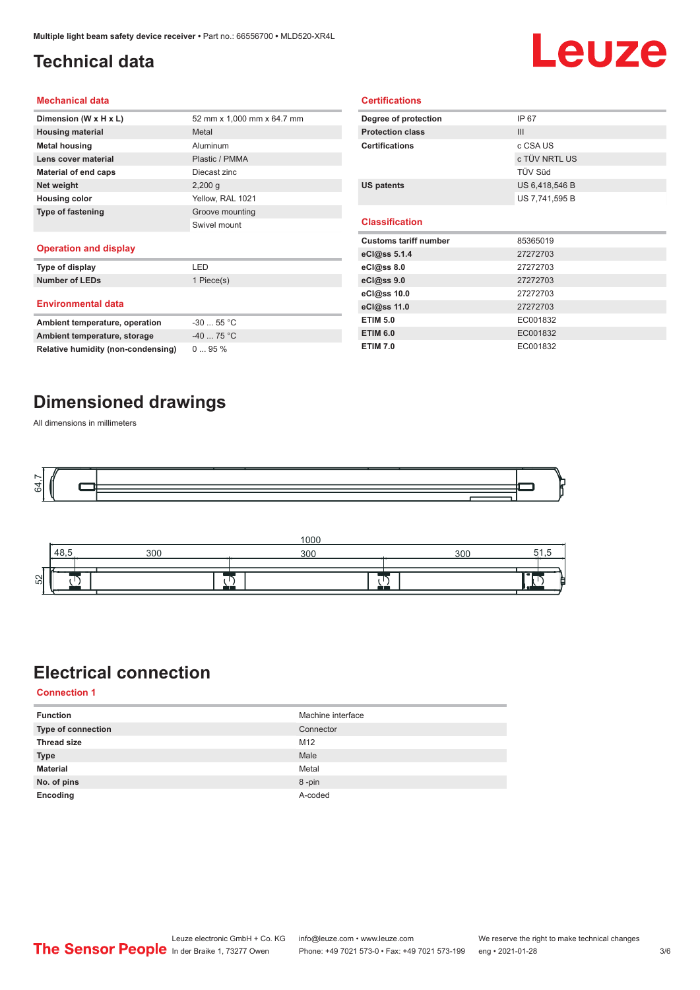### <span id="page-2-0"></span>**Technical data**

# Leuze

#### **Mechanical data**

| Dimension (W x H x L)       | 52 mm x 1,000 mm x 64.7 mm |
|-----------------------------|----------------------------|
| <b>Housing material</b>     | Metal                      |
| <b>Metal housing</b>        | Aluminum                   |
| Lens cover material         | Plastic / PMMA             |
| <b>Material of end caps</b> | Diecast zinc               |
| Net weight                  | $2,200$ g                  |
| <b>Housing color</b>        | Yellow, RAL 1021           |
| <b>Type of fastening</b>    | Groove mounting            |
|                             | Swivel mount               |
|                             |                            |

#### **Operation and display**

| Type of display                | I FD       |
|--------------------------------|------------|
| <b>Number of LEDs</b>          | 1 Piece(s) |
| <b>Environmental data</b>      |            |
| Ambient temperature, operation | $-3055$ °C |
| Ambient temperature, storage   | $-4075 °C$ |

| Degree of protection         | IP 67          |  |
|------------------------------|----------------|--|
| <b>Protection class</b>      | III            |  |
| <b>Certifications</b>        | c CSA US       |  |
|                              | c TÜV NRTL US  |  |
|                              | TÜV Süd        |  |
| <b>US patents</b>            | US 6,418,546 B |  |
|                              | US 7,741,595 B |  |
|                              |                |  |
|                              |                |  |
| <b>Classification</b>        |                |  |
| <b>Customs tariff number</b> | 85365019       |  |
| eCl@ss 5.1.4                 | 27272703       |  |
| eCl@ss 8.0                   | 27272703       |  |
| eCl@ss 9.0                   | 27272703       |  |
| eCl@ss 10.0                  | 27272703       |  |
| eCl@ss 11.0                  | 27272703       |  |
| <b>ETIM 5.0</b>              | EC001832       |  |
| <b>ETIM 6.0</b>              | EC001832       |  |

**Certifications**

### **Dimensioned drawings**

**Relative humidity (non-condensing)** 0 ... 95 %

All dimensions in millimeters





### **Electrical connection**

**Connection 1**

| <b>Function</b>           | Machine interface |
|---------------------------|-------------------|
| <b>Type of connection</b> | Connector         |
| <b>Thread size</b>        | M12               |
| <b>Type</b>               | Male              |
| <b>Material</b>           | Metal             |
| No. of pins               | 8-pin             |
| Encoding                  | A-coded           |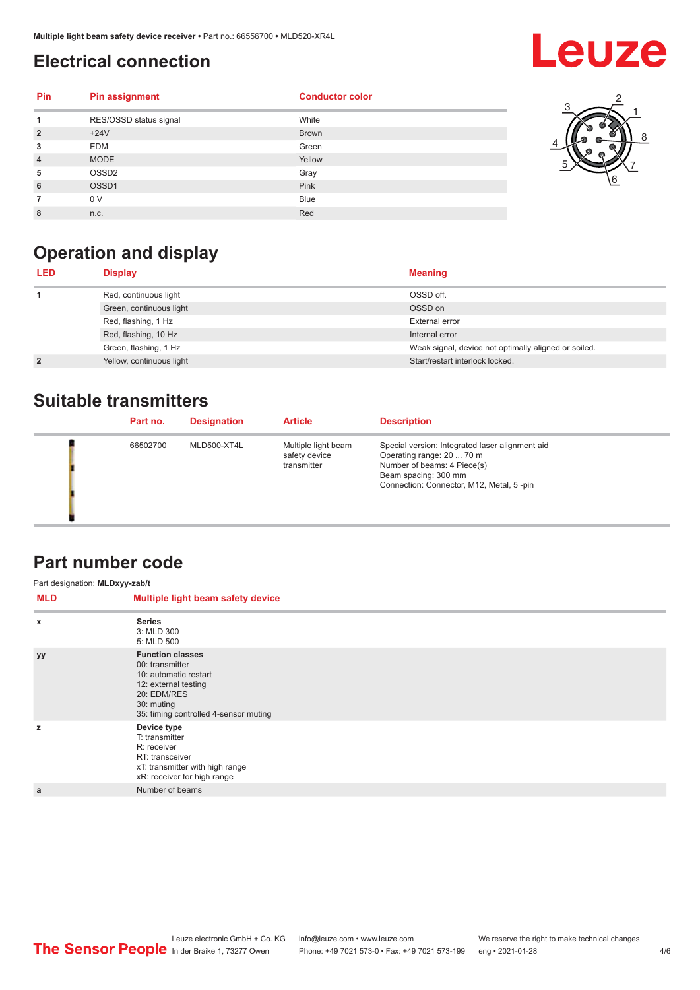### <span id="page-3-0"></span>**Electrical connection**

## **Leuze**

3

5

1 2

8

6 7

| Pin            | <b>Pin assignment</b>  | <b>Conductor color</b> |  |
|----------------|------------------------|------------------------|--|
|                | RES/OSSD status signal | White                  |  |
| $\overline{2}$ | $+24V$                 | <b>Brown</b>           |  |
| 3              | <b>EDM</b>             | Green                  |  |
| $\overline{4}$ | <b>MODE</b>            | Yellow                 |  |
| 5              | OSSD <sub>2</sub>      | Gray                   |  |
| 6              | OSSD1                  | Pink                   |  |
|                | 0 V                    | <b>Blue</b>            |  |
| 8              | n.c.                   | Red                    |  |



| <b>Meaning</b><br><b>LED</b><br><b>Display</b>                                |  |
|-------------------------------------------------------------------------------|--|
| OSSD off.<br>Red, continuous light                                            |  |
| OSSD on<br>Green, continuous light                                            |  |
| Red, flashing, 1 Hz<br>External error                                         |  |
| Red, flashing, 10 Hz<br>Internal error                                        |  |
| Green, flashing, 1 Hz<br>Weak signal, device not optimally aligned or soiled. |  |
| Start/restart interlock locked.<br>Yellow, continuous light<br>$\overline{2}$ |  |

### **Suitable transmitters**

| Part no. | <b>Designation</b> | <b>Article</b>                                      | <b>Description</b>                                                                                                                                                              |
|----------|--------------------|-----------------------------------------------------|---------------------------------------------------------------------------------------------------------------------------------------------------------------------------------|
| 66502700 | MLD500-XT4L        | Multiple light beam<br>safety device<br>transmitter | Special version: Integrated laser alignment aid<br>Operating range: 20  70 m<br>Number of beams: 4 Piece(s)<br>Beam spacing: 300 mm<br>Connection: Connector, M12, Metal, 5-pin |

### **Part number code**

| Part designation: MLDxyy-zab/t |                                                                                                                                                                   |
|--------------------------------|-------------------------------------------------------------------------------------------------------------------------------------------------------------------|
| <b>MLD</b>                     | Multiple light beam safety device                                                                                                                                 |
| $\boldsymbol{\mathsf{x}}$      | <b>Series</b><br>3: MLD 300<br>5: MLD 500                                                                                                                         |
| <b>yy</b>                      | <b>Function classes</b><br>00: transmitter<br>10: automatic restart<br>12: external testing<br>20: EDM/RES<br>30: muting<br>35: timing controlled 4-sensor muting |
| z                              | Device type<br>T: transmitter<br>R: receiver<br>RT: transceiver<br>xT: transmitter with high range<br>xR: receiver for high range                                 |
| a                              | Number of beams                                                                                                                                                   |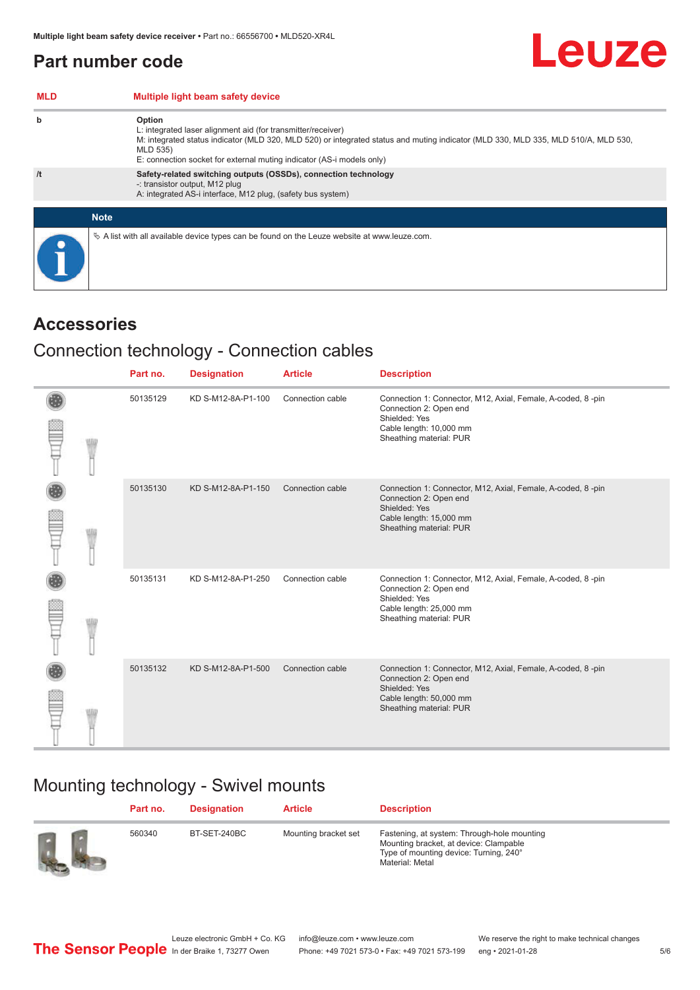### <span id="page-4-0"></span>**Part number code**

| <b>MLD</b> | Multiple light beam safety device                                                                                                                                                                                                                                                                 |
|------------|---------------------------------------------------------------------------------------------------------------------------------------------------------------------------------------------------------------------------------------------------------------------------------------------------|
| b          | Option<br>L: integrated laser alignment aid (for transmitter/receiver)<br>M: integrated status indicator (MLD 320, MLD 520) or integrated status and muting indicator (MLD 330, MLD 335, MLD 510/A, MLD 530,<br>MLD 535)<br>E: connection socket for external muting indicator (AS-i models only) |
| /t         | Safety-related switching outputs (OSSDs), connection technology<br>-: transistor output, M12 plug<br>A: integrated AS-i interface, M12 plug, (safety bus system)                                                                                                                                  |
|            | <b>Note</b>                                                                                                                                                                                                                                                                                       |
|            | $\&$ A list with all available device types can be found on the Leuze website at www.leuze.com.                                                                                                                                                                                                   |

### **Accessories**

### Connection technology - Connection cables

|  | Part no. | <b>Designation</b> | <b>Article</b>   | <b>Description</b>                                                                                                                                           |
|--|----------|--------------------|------------------|--------------------------------------------------------------------------------------------------------------------------------------------------------------|
|  | 50135129 | KD S-M12-8A-P1-100 | Connection cable | Connection 1: Connector, M12, Axial, Female, A-coded, 8-pin<br>Connection 2: Open end<br>Shielded: Yes<br>Cable length: 10,000 mm<br>Sheathing material: PUR |
|  | 50135130 | KD S-M12-8A-P1-150 | Connection cable | Connection 1: Connector, M12, Axial, Female, A-coded, 8-pin<br>Connection 2: Open end<br>Shielded: Yes<br>Cable length: 15,000 mm<br>Sheathing material: PUR |
|  | 50135131 | KD S-M12-8A-P1-250 | Connection cable | Connection 1: Connector, M12, Axial, Female, A-coded, 8-pin<br>Connection 2: Open end<br>Shielded: Yes<br>Cable length: 25,000 mm<br>Sheathing material: PUR |
|  | 50135132 | KD S-M12-8A-P1-500 | Connection cable | Connection 1: Connector, M12, Axial, Female, A-coded, 8-pin<br>Connection 2: Open end<br>Shielded: Yes<br>Cable length: 50,000 mm<br>Sheathing material: PUR |

### Mounting technology - Swivel mounts

| Part no. | Designation  | <b>Article</b>       | <b>Description</b>                                                                                                                                 |
|----------|--------------|----------------------|----------------------------------------------------------------------------------------------------------------------------------------------------|
| 560340   | BT-SET-240BC | Mounting bracket set | Fastening, at system: Through-hole mounting<br>Mounting bracket, at device: Clampable<br>Type of mounting device: Turning, 240°<br>Material: Metal |